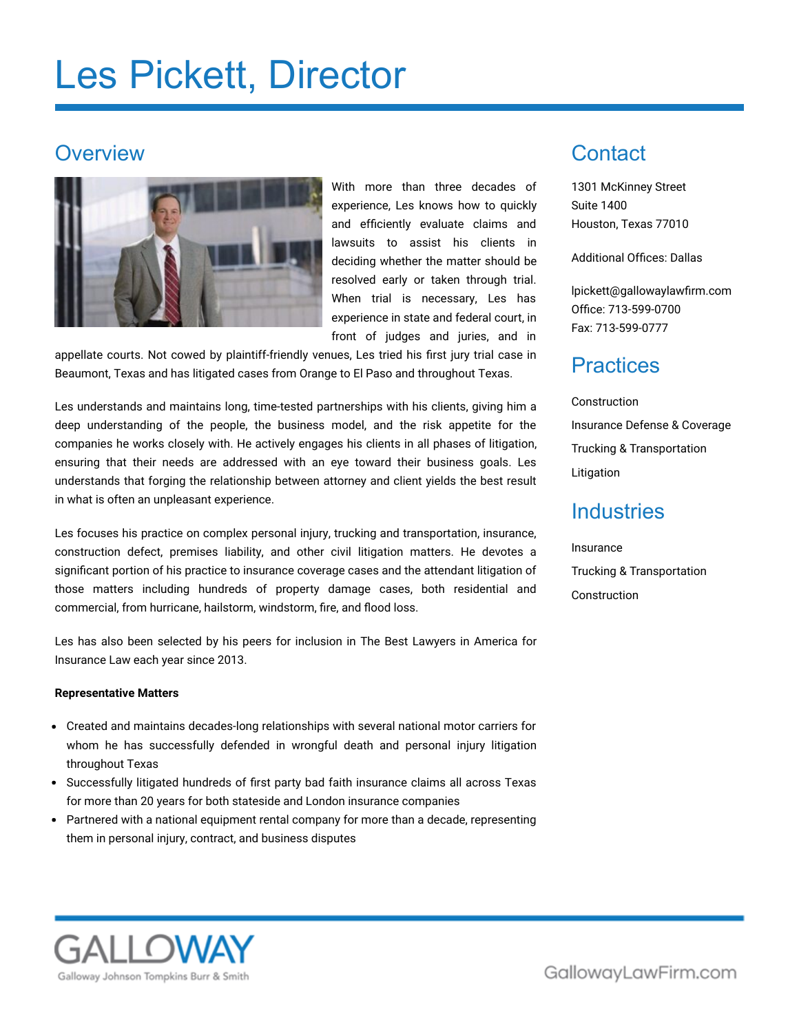# Les Pickett, Director

#### **Overview**



With more than three decades of experience, Les knows how to quickly and efficiently evaluate claims and lawsuits to assist his clients in deciding whether the matter should be resolved early or taken through trial. When trial is necessary, Les has experience in state and federal court, in front of judges and juries, and in

appellate courts. Not cowed by plaintiff-friendly venues, Les tried his first jury trial case in Beaumont, Texas and has litigated cases from Orange to El Paso and throughout Texas.

Les understands and maintains long, time-tested partnerships with his clients, giving him a deep understanding of the people, the business model, and the risk appetite for the companies he works closely with. He actively engages his clients in all phases of litigation, ensuring that their needs are addressed with an eye toward their business goals. Les understands that forging the relationship between attorney and client yields the best result in what is often an unpleasant experience.

Les focuses his practice on complex personal injury, trucking and transportation, insurance, construction defect, premises liability, and other civil litigation matters. He devotes a significant portion of his practice to insurance coverage cases and the attendant litigation of those matters including hundreds of property damage cases, both residential and commercial, from hurricane, hailstorm, windstorm, fire, and flood loss.

Les has also been selected by his peers for inclusion in The Best Lawyers in America for Insurance Law each year since 2013.

#### **Representative Matters**

- Created and maintains decades-long relationships with several national motor carriers for whom he has successfully defended in wrongful death and personal injury litigation throughout Texas
- Successfully litigated hundreds of first party bad faith insurance claims all across Texas for more than 20 years for both stateside and London insurance companies
- Partnered with a national equipment rental company for more than a decade, representing them in personal injury, contract, and business disputes

### **Contact**

1301 McKinney Street Suite 1400 Houston, Texas 77010

Additional Offices: Dallas

[lpickett@gallowaylawfirm.com](mailto:lpickett@gallowaylawfirm.com) Office: 713-599-0700 Fax: 713-599-0777

#### **Practices**

Construction Insurance Defense & Coverage Trucking & Transportation Litigation

#### **Industries**

#### Insurance Trucking & Transportation Construction